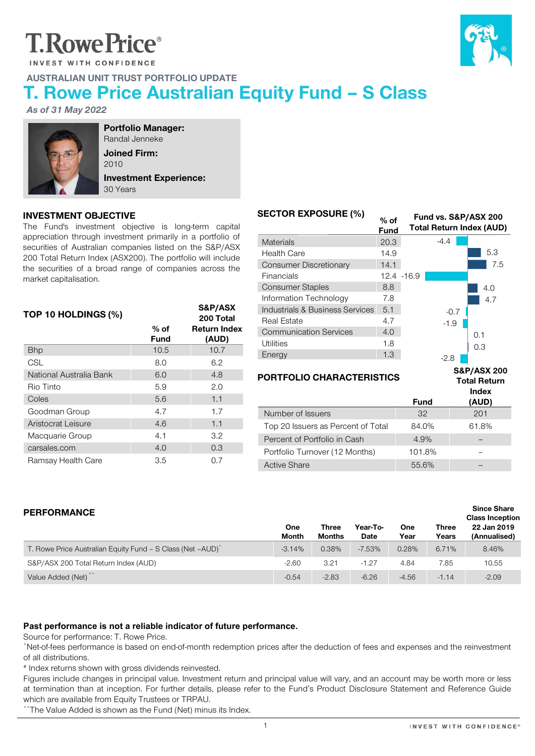# **T.RowePrice**®

INVEST WITH CONFIDENCE



# T. Rowe Price Australian Equity Fund – S Class

As of 31 May 2022



Portfolio Manager: Randal Jenneke Joined Firm: 2010

AUSTRALIAN UNIT TRUST PORTFOLIO UPDATE

Investment Experience: 30 Years

### INVESTMENT OBJECTIVE

The Fund's investment objective is long-term capital appreciation through investment primarily in a portfolio of securities of Australian companies listed on the S&P/ASX 200 Total Return Index (ASX200). The portfolio will include the securities of a broad range of companies across the market capitalisation.

| TOP 10 HOLDINGS (%)     |                       | S&P/ASX<br>200 Total         |
|-------------------------|-----------------------|------------------------------|
|                         | $%$ of<br><b>Fund</b> | <b>Return Index</b><br>(AUD) |
| <b>Bhp</b>              | 10.5                  | 10.7                         |
| <b>CSL</b>              | 8.0                   | 6.2                          |
| National Australia Bank | 6.0                   | 4.8                          |
| Rio Tinto               | 5.9                   | 2.0                          |
| Coles                   | 5.6                   | 1.1                          |
| Goodman Group           | 4.7                   | 1.7                          |
| Aristocrat Leisure      | 4.6                   | 1.1                          |
| Macquarie Group         | 4.1                   | 3.2                          |
| carsales.com            | 4.0                   | 0.3                          |
| Ramsay Health Care      | 3.5                   | 0.7                          |

| <b>SECTOR EXPOSURE (%)</b>      | % of<br><b>Fund</b> | Fund vs. S&P/ASX 200 | <b>Total Return Index (AUD)</b> |
|---------------------------------|---------------------|----------------------|---------------------------------|
| <b>Materials</b>                | 20.3                | $-4.4$               |                                 |
| <b>Health Care</b>              | 14.9                |                      | 5.3                             |
| Consumer Discretionary          | 14.1                |                      | 7.5                             |
| Financials                      | 12.4 -16.9          |                      |                                 |
| <b>Consumer Staples</b>         | 8.8                 |                      | 4.0                             |
| Information Technology          | 7.8                 |                      | 4.7                             |
| Industrials & Business Services | 5.1                 | $-0.7$               |                                 |
| Real Estate                     | 4.7                 | $-1.9$               |                                 |
| <b>Communication Services</b>   | 4.0                 |                      | 0.1                             |
| Utilities                       | 1.8                 |                      | 0.3                             |
| Energy                          | 1.3                 | -2.8                 |                                 |

#### PORTFOLIO CHARACTERISTICS

S&P/ASX 200 Total Return Index

Since Share

|                                    |             | 11 I U CA |
|------------------------------------|-------------|-----------|
|                                    | <b>Fund</b> | (AUD)     |
| Number of Issuers                  | 32          | 201       |
| Top 20 Issuers as Percent of Total | 84.0%       | 61.8%     |
| Percent of Portfolio in Cash       | 4.9%        |           |
| Portfolio Turnover (12 Months)     | 101.8%      |           |
| <b>Active Share</b>                | 55.6%       |           |

# PERFORMANCE

| ________________                                                       |                     | Three         | Year-To-    |             | <b>Three</b> | <b>Class Inception</b><br>22 Jan 2019 |
|------------------------------------------------------------------------|---------------------|---------------|-------------|-------------|--------------|---------------------------------------|
|                                                                        | One<br><b>Month</b> | <b>Months</b> | <b>Date</b> | One<br>Year | Years        | (Annualised)                          |
| T. Rowe Price Australian Equity Fund - S Class (Net -AUD) <sup>*</sup> | $-3.14%$            | 0.38%         | $-7.53%$    | 0.28%       | 6.71%        | 8.46%                                 |
| S&P/ASX 200 Total Return Index (AUD)                                   | $-2.60$             | 3.21          | $-1.27$     | 4.84        | 7.85         | 10.55                                 |
| Value Added (Net) <sup>**</sup>                                        | $-0.54$             | $-2.83$       | $-6.26$     | $-4.56$     | $-1.14$      | $-2.09$                               |

#### **Past performance is not a reliable indicator of future performance.**

Source for performance: T. Rowe Price.

\*Net-of-fees performance is based on end-of-month redemption prices after the deduction of fees and expenses and the reinvestment of all distributions.

# Index returns shown with gross dividends reinvested.

Figures include changes in principal value. Investment return and principal value will vary, and an account may be worth more or less at termination than at inception. For further details, please refer to the Fund's Product Disclosure Statement and Reference Guide which are available from Equity Trustees or TRPAU.

\*\*The Value Added is shown as the Fund (Net) minus its Index.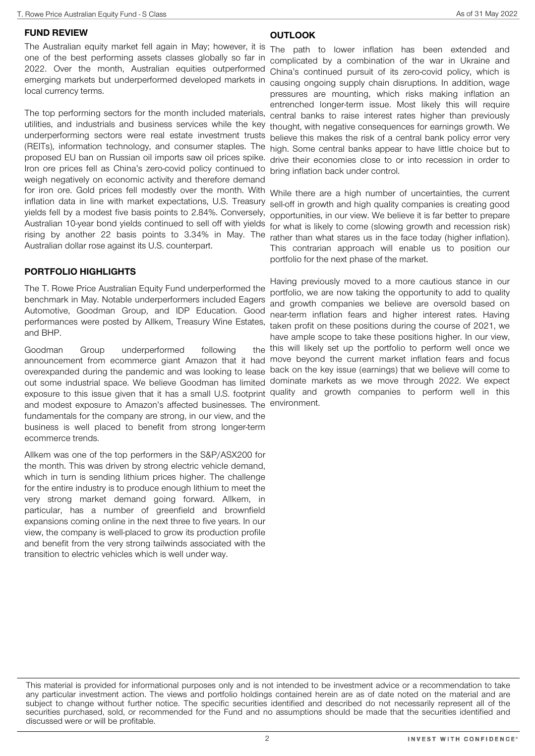#### FUND REVIEW

The Australian equity market fell again in May; however, it is The path to lower inflation has been extended and one of the best performing assets classes globally so far in 2022. Over the month, Australian equities outperformed emerging markets but underperformed developed markets in local currency terms.

The top performing sectors for the month included materials, utilities, and industrials and business services while the key underperforming sectors were real estate investment trusts (REITs), information technology, and consumer staples. The proposed EU ban on Russian oil imports saw oil prices spike. Iron ore prices fell as China's zero-covid policy continued to weigh negatively on economic activity and therefore demand for iron ore. Gold prices fell modestly over the month. With inflation data in line with market expectations, U.S. Treasury yields fell by a modest five basis points to 2.84%. Conversely, Australian 10-year bond yields continued to sell off with yields rising by another 22 basis points to 3.34% in May. The Australian dollar rose against its U.S. counterpart.

#### PORTFOLIO HIGHLIGHTS

The T. Rowe Price Australian Equity Fund underperformed the benchmark in May. Notable underperformers included Eagers Automotive, Goodman Group, and IDP Education. Good performances were posted by Allkem, Treasury Wine Estates, and BHP.

Goodman Group underperformed following announcement from ecommerce giant Amazon that it had move beyond the current market inflation fears and focus overexpanded during the pandemic and was looking to lease back on the key issue (earnings) that we believe will come to out some industrial space. We believe Goodman has limited dominate markets as we move through 2022. We expect exposure to this issue given that it has a small U.S. footprint quality and growth companies to perform well in this and modest exposure to Amazon's affected businesses. The environment.fundamentals for the company are strong, in our view, and the business is well placed to benefit from strong longer-term ecommerce trends.

Allkem was one of the top performers in the S&P/ASX200 for the month. This was driven by strong electric vehicle demand, which in turn is sending lithium prices higher. The challenge for the entire industry is to produce enough lithium to meet the very strong market demand going forward. Allkem, in particular, has a number of greenfield and brownfield expansions coming online in the next three to five years. In our view, the company is well-placed to grow its production profile and benefit from the very strong tailwinds associated with the transition to electric vehicles which is well under way.

#### **OUTLOOK**

complicated by a combination of the war in Ukraine and China's continued pursuit of its zero-covid policy, which is causing ongoing supply chain disruptions. In addition, wage pressures are mounting, which risks making inflation an entrenched longer-term issue. Most likely this will require central banks to raise interest rates higher than previously thought, with negative consequences for earnings growth. We believe this makes the risk of a central bank policy error very high. Some central banks appear to have little choice but to drive their economies close to or into recession in order to bring inflation back under control.

While there are a high number of uncertainties, the current sell-off in growth and high quality companies is creating good opportunities, in our view. We believe it is far better to prepare for what is likely to come (slowing growth and recession risk) rather than what stares us in the face today (higher inflation). This contrarian approach will enable us to position our portfolio for the next phase of the market.

Having previously moved to a more cautious stance in our portfolio, we are now taking the opportunity to add to quality and growth companies we believe are oversold based on near-term inflation fears and higher interest rates. Having taken profit on these positions during the course of 2021, we have ample scope to take these positions higher. In our view, the this will likely set up the portfolio to perform well once we

This material is provided for informational purposes only and is not intended to be investment advice or a recommendation to take any particular investment action. The views and portfolio holdings contained herein are as of date noted on the material and are subject to change without further notice. The specific securities identified and described do not necessarily represent all of the securities purchased, sold, or recommended for the Fund and no assumptions should be made that the securities identified and discussed were or will be profitable.